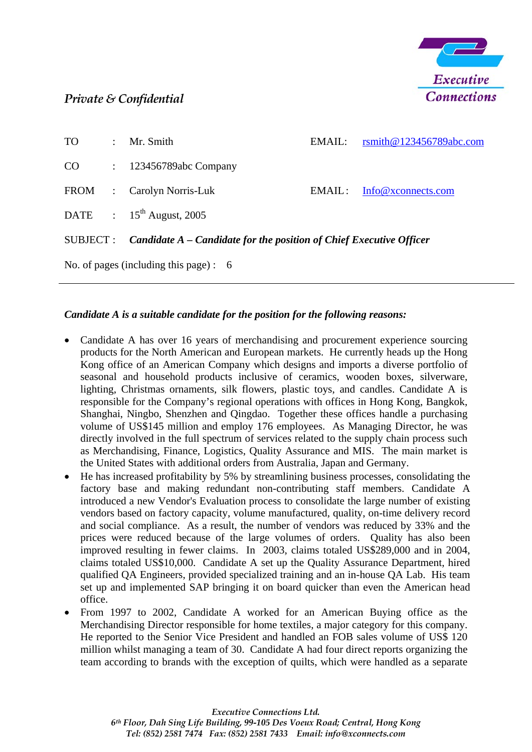

## *Private & Confidential*

| <b>TO</b>                                 | $\ddot{\phantom{0}}$ | Mr. Smith                                                             | EMAIL: | rsmith@123456789abc.com |  |  |  |
|-------------------------------------------|----------------------|-----------------------------------------------------------------------|--------|-------------------------|--|--|--|
| CO                                        |                      | $\therefore$ 123456789abc Company                                     |        |                         |  |  |  |
| FROM :                                    |                      | Carolyn Norris-Luk                                                    | EMAIL: | Info@xconnects.com      |  |  |  |
|                                           |                      | DATE : $15^{th}$ August, 2005                                         |        |                         |  |  |  |
| SUBJECT :                                 |                      | Candidate $A$ – Candidate for the position of Chief Executive Officer |        |                         |  |  |  |
| No. of pages (including this page): $\,6$ |                      |                                                                       |        |                         |  |  |  |

## *Candidate A is a suitable candidate for the position for the following reasons:*

- Candidate A has over 16 years of merchandising and procurement experience sourcing products for the North American and European markets. He currently heads up the Hong Kong office of an American Company which designs and imports a diverse portfolio of seasonal and household products inclusive of ceramics, wooden boxes, silverware, lighting, Christmas ornaments, silk flowers, plastic toys, and candles. Candidate A is responsible for the Company's regional operations with offices in Hong Kong, Bangkok, Shanghai, Ningbo, Shenzhen and Qingdao. Together these offices handle a purchasing volume of US\$145 million and employ 176 employees. As Managing Director, he was directly involved in the full spectrum of services related to the supply chain process such as Merchandising, Finance, Logistics, Quality Assurance and MIS. The main market is the United States with additional orders from Australia, Japan and Germany.
- He has increased profitability by 5% by streamlining business processes, consolidating the factory base and making redundant non-contributing staff members. Candidate A introduced a new Vendor's Evaluation process to consolidate the large number of existing vendors based on factory capacity, volume manufactured, quality, on-time delivery record and social compliance. As a result, the number of vendors was reduced by 33% and the prices were reduced because of the large volumes of orders. Quality has also been improved resulting in fewer claims. In 2003, claims totaled US\$289,000 and in 2004, claims totaled US\$10,000. Candidate A set up the Quality Assurance Department, hired qualified QA Engineers, provided specialized training and an in-house QA Lab. His team set up and implemented SAP bringing it on board quicker than even the American head office.
- From 1997 to 2002, Candidate A worked for an American Buying office as the Merchandising Director responsible for home textiles, a major category for this company. He reported to the Senior Vice President and handled an FOB sales volume of US\$ 120 million whilst managing a team of 30. Candidate A had four direct reports organizing the team according to brands with the exception of quilts, which were handled as a separate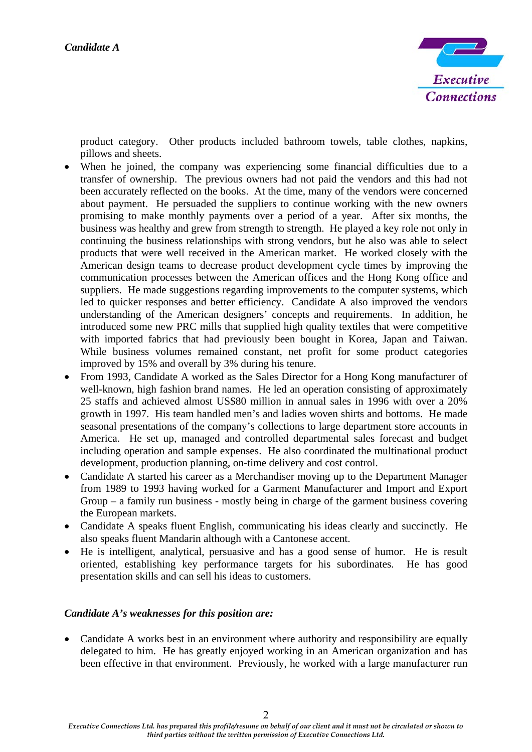

product category. Other products included bathroom towels, table clothes, napkins, pillows and sheets.

- When he joined, the company was experiencing some financial difficulties due to a transfer of ownership. The previous owners had not paid the vendors and this had not been accurately reflected on the books. At the time, many of the vendors were concerned about payment. He persuaded the suppliers to continue working with the new owners promising to make monthly payments over a period of a year. After six months, the business was healthy and grew from strength to strength. He played a key role not only in continuing the business relationships with strong vendors, but he also was able to select products that were well received in the American market. He worked closely with the American design teams to decrease product development cycle times by improving the communication processes between the American offices and the Hong Kong office and suppliers. He made suggestions regarding improvements to the computer systems, which led to quicker responses and better efficiency. Candidate A also improved the vendors understanding of the American designers' concepts and requirements. In addition, he introduced some new PRC mills that supplied high quality textiles that were competitive with imported fabrics that had previously been bought in Korea, Japan and Taiwan. While business volumes remained constant, net profit for some product categories improved by 15% and overall by 3% during his tenure. •
- From 1993, Candidate A worked as the Sales Director for a Hong Kong manufacturer of well-known, high fashion brand names. He led an operation consisting of approximately 25 staffs and achieved almost US\$80 million in annual sales in 1996 with over a 20% growth in 1997. His team handled men's and ladies woven shirts and bottoms. He made seasonal presentations of the company's collections to large department store accounts in America. He set up, managed and controlled departmental sales forecast and budget including operation and sample expenses. He also coordinated the multinational product development, production planning, on-time delivery and cost control.
- Candidate A started his career as a Merchandiser moving up to the Department Manager from 1989 to 1993 having worked for a Garment Manufacturer and Import and Export Group – a family run business - mostly being in charge of the garment business covering the European markets.
- Candidate A speaks fluent English, communicating his ideas clearly and succinctly. He also speaks fluent Mandarin although with a Cantonese accent.
- $\bullet$ He is intelligent, analytical, persuasive and has a good sense of humor. He is result oriented, establishing key performance targets for his subordinates. He has good presentation skills and can sell his ideas to customers.

## *Candidate A's weaknesses for this position are:*

• Candidate A works best in an environment where authority and responsibility are equally delegated to him. He has greatly enjoyed working in an American organization and has been effective in that environment. Previously, he worked with a large manufacturer run